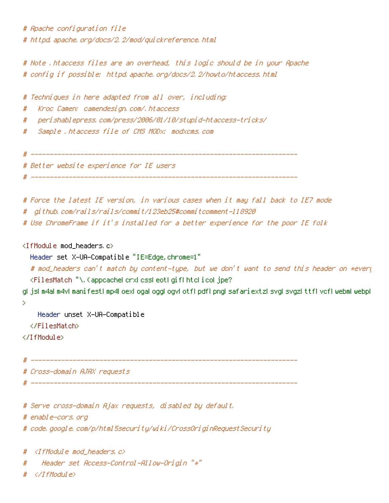# Apache configuration file # httpd, apache, org/docs/2, 2/mod/guickreference, html

# Note .htaccess files are an overhead, this logic should be in your Apache # config if possible: httpd.apache.org/docs/2.2/howto/htaccess.html

# Techniques in here adapted from all over, including: Kroc Camen: camendesign.com/.htaccess # peri shablepress, com/press/2006/01/10/stupi d-htaccess-tri cks/ # Sample .htaccess file of CMS MODx; modxcms.com # # Better website experience for IE users # Force the latest IE version, in various cases when it may fall back to IE7 mode

- aithub.com/rails/rails/commit/123eb25#commitcomment-118920 #
- # Use ChromeFrame if it's installed for a better experience for the poor IE folk

<IfModule mod headers.c>

Header set X-UA-Compatible "IE=Edge, chrome=1"

# mod\_headers can't match by content-type, but we don't want to send this header on \*every <FilesMatch "\, (appcachel crxl cssl eotl gifl htcl i col jpe?

glijslim4alm4vlimanifestlimp4loexlogalogglogylotflipdflipnglisafariextzlisvglisvgzlittflivcfliwebmliwebpl  $\mathbf{\bar{5}}$ 

Header unset X-UA-Compatible

</FilesMatch>

</TifModule>

# Cross-domain AJAX requests

# Serve cross-domain Ajax requests, disabled by default.

# enable-cors, org

# code, google, com/p/html5security/wiki/CrossOriginRequestSecurity

 $\langle I$ fModule mod headers, c $\rangle$ #

Header set Access-Control-Allow-Origin "\*" #

</IfModule> #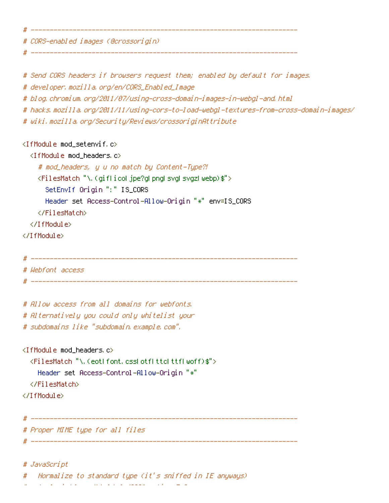# CORS-enabled images (@crossorigin).

# Send CORS headers if browsers request them; enabled by default for images,

# developer.mozilla.org/en/CORS\_Enabled\_Image

# blog.chromium.org/2011/07/using-cross-domain-images-in-webgl-and.html

# hacks.mozilla.org/2011/11/using-cors-to-load-webgl-textures-from-cross-domain-images/

# wiki.mozilla.org/Security/Reviews/crossoriginAttribute

<IfModule mod setenvif.c>

<IfModule mod headers.c>

# mod\_headers, y u no match by Content-Type?!

<FilesMatch "\.(qiflicol\_jpe?qlpnglsvglsvgzlwebp)\$">

SetEnvIf Origin ":" IS\_CORS

Header set Access-Control-Allow-Origin "\*" env=IS\_CORS

</FilesMatch>

</IfModule>

</IfModule>

#

# Webfont access

# Allow access from all domains for webfonts, # Alternatively you could only whitelist your # subdomains like "subdomain, example, com",

<IfModule mod headers.c>

<FilesMatch "\, (eot| font, css| otf| ttc| ttf| woff)\$"> Header set Access-Control-Allow-Origin "\*"

</FilesMatch>

</IfModule>

# Proper MIME type for all files

# JavaScript

Mormalize to standard type (it's sniffed in IE anyways)

and the state of the state of the state of the state of the state of the state of the state of the state of the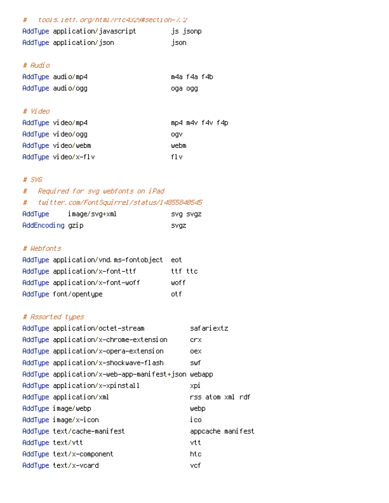#### tools.ietf.org/html/rfc4329#section-7.2 #

| AddType application/javascript | js jsonp |
|--------------------------------|----------|
| AddType application/json       | json.    |

#### # Audio

| AddType audio/mp4 | m4a f4a f4b |  |
|-------------------|-------------|--|
| AddType audio/ogg | oga ogg     |  |

## # Video

| AddTupe video/mp4 |                     | mp4 m4v f4v f4p |
|-------------------|---------------------|-----------------|
| AddTupe video/ogg |                     | oav             |
|                   | AddTupe video/webm  | webm            |
|                   | AddType video/x-flv | fl v            |

### $#$  SVG

#### Required for svg webfonts on iPad  $#$ twitter.com/FontSquirrel/status/14855840545  $\#$ AddIune image/svo+xml svg svgz

| nuu rype.        | ⊥wayc/svyt∧wi | ovy ovy |
|------------------|---------------|---------|
| AddEncoding gzip |               | svaz    |

### # Webfonts

| AddTupe application/vnd.ms-fontobject | – eoti  |
|---------------------------------------|---------|
| AddTupe application/x-font-ttf        | ttf ttc |
| AddTupe application/x-font-woff       | woff    |
| AddType font/opentype                 | nt f    |

# # Assorted types

| AddType application/octet-stream                   | safariextz        |
|----------------------------------------------------|-------------------|
| AddType application/x-chrome-extension             | crx               |
| AddType application/x-opera-extension              | oex               |
| AddTupe application/x-shockwave-flash              | swf               |
| AddType application/x-web-app-manifest+json webapp |                   |
| AddType application/x-xpinstall                    | xpi               |
| AddType application/xml                            | rss atom xml rdf  |
| AddType image/webp                                 | webp              |
| AddType image/x-icon                               | ico               |
| AddType text/cache-manifest                        | appcache manifest |
| AddTupe text/vtt                                   | vtt               |
| AddTupe text/x-component                           | htc               |
| AddTupe text/x-vcard                               | vcf               |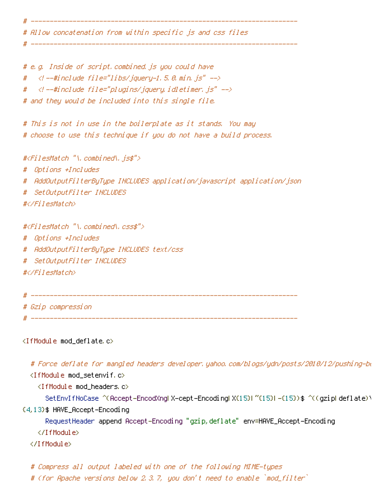# Allow concatenation from within specific js and css files

\_\_\_\_\_\_\_\_\_\_\_\_\_

# e.g. Inside of script,combined,js you could have  $\langle$  --#include file="libs/jquery-1.5.0.min.js" --> # // --#include file="plugins/jquery.idletimer.js" --> # # and they would be included into this single file.

# This is not in use in the boilerplate as it stands. You may # choose to use this technique if you do not have a build process.

#<FilesMatch "\.combined\.js\$">

# Options +Includes

# AddOutputFilterByType INCLUDES application/javascript application/json

# SetOutputFilter INCLUDES

#</FilesMatch>

#<FilesMatch "\.combined\.css\$"> # Options +Includes # AddOutputFilterBuTupe INCLUDES text/css # SetOutputFilter INCLUDES #</FilesMatch>

# Gzip compression

<IfModule mod\_deflate.c>

# Force deflate for mangled headers developer, yahoo, com/blogs/ydn/posts/2010/12/pushing-bu

<IfModule mod setenvif.c>

<IfModule mod headers.c>

SetEnvIfNoCase ^(Accept-EncodXngl X-cept-Encodingl X(15)) ~(15)) -(15)) \$ ^((gzipl deflate))

(4,13) \$HAVE\_Accept-Encoding

RequestHeader append Accept-Encoding "gzip,deflate" env=HAVE\_Accept-Encoding

</IfModule>

</IfModule>

# Compress all output labeled with one of the following MIME-types

# (for Apache versions below 2.3.7, you don't need to enable `mod\_filter`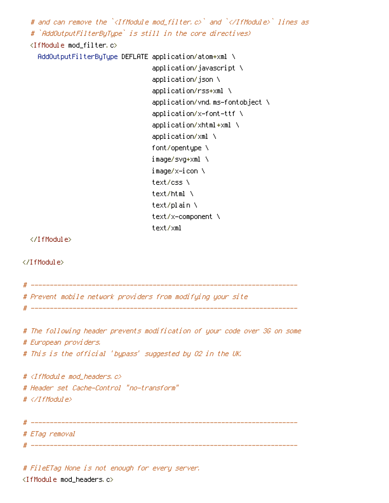# and can remove the `<IfModule mod filter.c>` and `</IfModule>` lines as # `AddOutputFilterByType` is still in the core directives) <IfModule mod\_filter.c> AddOutputFilterByType DEFLATE application/atom+xml \ application/javascript \ application/json \ application/rss+xml \ application/vnd.ms-fontobject \ application/x-font-ttf \  $application/xhtml+ $xml$  \$ application/xml \ font/opentupe \ image/svq+xml \ image/x−icon \ text/css \ text/html \ text/plain \ text/x-component \ text/xml </IfModule> </IfModule> # Prevent mobile network providers from modifying your site # The following header prevents modification of your code over 3G on some # European providers. # This is the official 'bypass' suggested by 02 in the UK. #  $\langle$ IfModule mod headers,  $c$ > # Header set Cache-Control "no-transform"  $# \triangle$ /IfModule> # ETag removal 

# FileETag None is not enough for every server. <IfModule mod headers.c>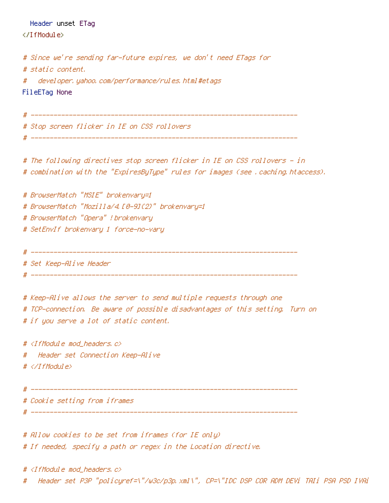Header unset ETag

</IfModule>

```
# Since we're sending far-future expires, we don't need ETags for
# static content.
#
   developer, yahoo, com/performance/rules, html #etags
FileETag None
# Stop screen flicker in IE on CSS rollovers
 # The following directives stop screen flicker in IE on CSS rollovers - in
# combination with the "ExpiresByType" rules for images (see , caching, htaccess).
# BrowserMatch "MSIE" brokenvary=1
# BrowserMatch "Mozilla/4.10-91(2)" brokenvary=1
# BrowserMatch "Opera" ! brokenvary
# SetEnvIf brokenvary 1 force-no-vary
 ______________________
                 # Set Keep-Alive Header
# Keep-Alive allows the server to send multiple requests through one
# TCP-connection. Be aware of possible disadvantages of this setting. Turn on
# if you serve a lot of static content.
# <IfModule mod_headers.c>
 - Header set Connection Keep-Alive
#
\# \langle \angle If Modul e\rangle# Cookie setting from iframes
# ---------------------
```
# Allow cookies to be set from iframes (for IE only) # If needed, specify a path or regex in the Location directive.

# <IfModule mod\_headers.c> Header set P3P "policyref=\"/w3c/p3p.xml\", CP=\"IDC DSP COR ADM DEVi TAIi PSA PSD IVAi #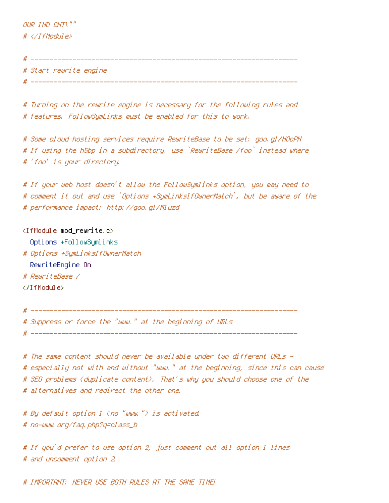OUR IND CNT\""  $# \triangle$ /IfModule>

# Start rewrite engine \_\_\_\_\_\_\_\_\_\_\_\_\_\_\_\_\_

# Turning on the rewrite engine is necessary for the following rules and # features, FollowSymLinks must be enabled for this to work.

# Some cloud hosting services require RewriteBase to be set: goo.gl/HOcPN # If using the h5bp in a subdirectory, use `RewriteBase /foo` instead where # 'foo' is your directory.

# If your web host doesn't allow the FollowSymlinks option, you may need to # comment it out and use `Options +SymLinksIfOwnerMatch`, but be aware of the # performance impact: http://goo.gl/Mluzd

<IfModule mod\_rewrite.c> Options +FollowSymlinks # Options +SumLinksIfOwnerMatch RewriteEngine On # RewriteBase / </IfModule>

# ----------------------------------

# Suppress or force the "www." at the beginning of URLs

# The same content should never be available under two different URLs -# especially not with and without "www." at the beginning, since this can cause # SEO problems (duplicate content). That's why you should choose one of the # alternatives and redirect the other one.

# By default option 1 (no "www.") is activated. # no-www.org/faq.php?q=class\_b

# If you'd prefer to use option 2, just comment out all option 1 lines # and uncomment option 2.

# IMPORTANT: NEVER USE BOTH RULES AT THE SAME TIME!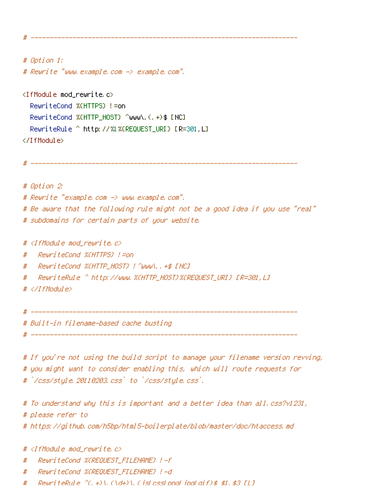# Option 1: # Reurite "www.example.com -> example.com".

<IfModule mod\_rewrite.c> RewriteCond %(HTTPS) != on RewriteCond %(HTTP\_HOST) ^www\.(,+)\$ [NC] RewriteRule ^ http://%1%(REQUEST\_URI) [R=301,L] </IfModule>

# Option 2: # Reurite "example.com -> www.example.com". # Be aware that the following rule might not be a good idea if you use "real" # subdomains for certain parts of your website.

# <[fModule mod rewrite.c>

 $#$ 

RewriteCond %CHTTP HOST} | ^www\..+\$ [NC] #

#

 $\#$  </IfModule>

# Built-in filename-based cache busting

# If you're not using the build script to manage your filename version revving, # you might want to consider enabling this, which will route requests for # `/css/style.20110203.css` to `/css/style.css`.

# To understand why this is important and a better idea than all.css?v1231, # please refer to

# https://github.com/h5bp/html5-boilerplate/blob/master/doc/htaccess.md

# <IfModule mod rewrite.c>

- RewriteCond %(REQUEST\_FILENAME) !-f #
- $#$ RewriteCond %(REQUEST\_FILENAME) !-d
- ReuriteRule  $\hat{C}$ , +)\,  $(\hat{d}t)$ \, (islosslonal ioalaif)\$ \$1, \$3 [L] #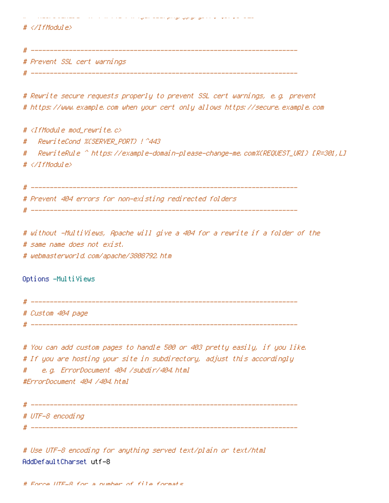مستعل سيوا ومنواريو والأسري والمواريخ ومستقر ومنيء والرائد بالمسارد والرادي والمستحققات للاستثناء

# </IfModule>

# Prevent SSL cert warnings

# Rewrite secure requests properly to prevent SSL cert warnings, e.g. prevent # https://www.example.com when your cert only allows https://secure.example.com

# <IfModule mod\_rewrite.c> # - RewriteRule ^ https://example-domain-please-change-me.com%{REQUEST\_URI} [R=301,L] # # </IfModule>

# Prevent 404 errors for non-existing redirected folders. 

# without -MultiViews, Apache will give a 404 for a rewrite if a folder of the # same name does not exist. # webmasterworld.com/apache/3808792.htm

Options -MultiViews

# Custom 404 page

# You can add custom pages to handle 500 or 403 pretty easily, if you like. # If you are hosting your site in subdirectory, adjust this accordingly e.g. ErrorDocument 404 /subdir/404.html # #ErrorDocument 404 /404.html

# UTF-8 encoding

# Use UTF-8 encoding for anything served text/plain or text/html AddDefaultCharset utf-8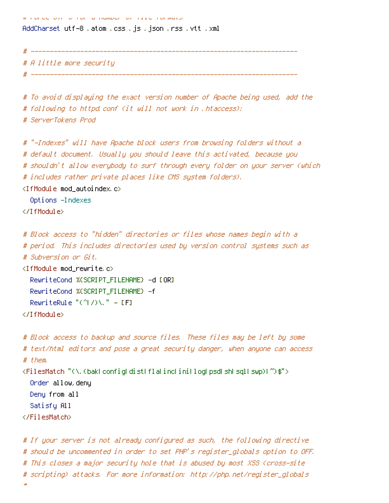כופש שונו מנודד וס ומששעו פי וסדיס דוס מסיוס ו

AddCharset utf–8 .atom .css .js .json .rss .vtt .xml

 $\#$  ------------

# A little more security

# To avoid displaying the exact version number of Apache being used, add the # following to httpd.conf (it will not work in .htaccess); # ServerTokens Prod

# "-Indexes" will have Apache block users from browsing folders without a # default document. Usuallu you should leave this activated, because you # shouldn't allow everybody to surf through every folder on your server (which # includes rather private places like CMS system folders).  $\langle$ IfModule mod autoindex.c> Options -Indexes </TifModule>

```
# Block access to "hidden" directories or files whose names begin with a
# period. This includes directories used by version control systems such as
# Subversion or Git.
```

```
\langleIfModule mod rewrite.c\rangleRewriteCond %(SCRIPT FILENAME) -d [OR]
  RewriteCond %(SCRIPT FILENAME) -f
  RewriteRule "(^\circ(^\circ) \vee, " - [F]
</TfModule>
```
 $\overline{u}$ 

```
# Block access to backup and source files. These files may be left by some
# text/html editors and pose a great security danger, when anyone can access
# them.
<FilesMatch "(\,(baklconfigLdistLflaLincLiniLlogLpsdLshLsglLswp)[")$">
  Order allow, denu
  Deny from all
  Satisfy All
</FilesMatch>
```
# If your server is not already configured as such, the following directive # should be uncommented in order to set PHP's register\_globals option to OFF. # This closes a major security hole that is abused by most XSS (cross-site # scripting) attacks. For more information: http://php.net/register\_globals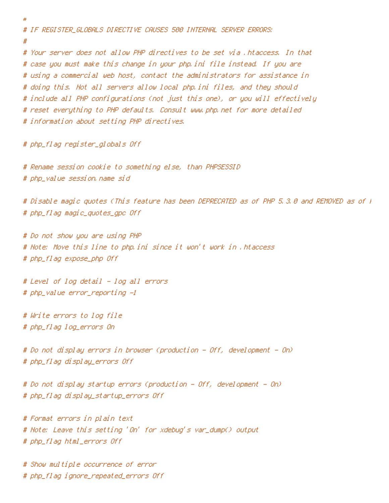# IF REGISTER GLOBALS DIRECTIVE CAUSES 500 INTERNAL SERVER ERRORS: # # Your server does not allow PHP directives to be set via . htaccess. In that # case you must make this change in your php.ini file instead. If you are # using a commercial web host, contact the administrators for assistance in # doing this. Not all servers allow local php.ini files, and they should # include all PHP configurations (not just this one), or you will effectively # reset everything to PHP defaults. Consult www.php.net for more detailed # information about setting PHP directives.

# php\_flag register\_globals Off

 $\overline{H}$ 

# Rename session cookie to something else, than PHPSESSID # php\_value session.name sid

# Disable magic quotes (This feature has been DEPRECATED as of PHP 5,3,0 and REMOVED as of ) # php\_flag magic\_quotes\_gpc Off

# Do not show you are using PHP # Note: Move this line to php.ini since it won't work in .htaccess # php\_flag expose\_php Off

# Level of log detail - log all errors # php\_value error\_reporting -1

# Write errors to log file # php\_flag log\_errors On

# Do not display errors in browser (production – Off, development – On) # php\_flaq display\_errors Off

# Do not display startup errors (production – Off, development – On) # php\_flag display\_startup\_errors Off

# Format errors in plain text # Note: Leave this setting 'On' for xdebug's var\_dump() output # php\_flag html\_errors Off

# Show multiple occurrence of error # php\_flag ignore\_repeated\_errors Off